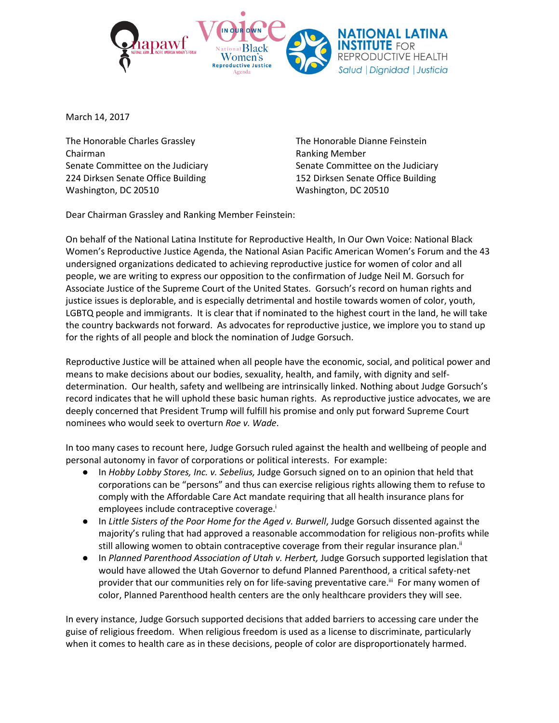

March 14, 2017

The Honorable Charles Grassley The Honorable Dianne Feinstein Chairman **Chairman** Ranking Member 224 Dirksen Senate Office Building 152 Dirksen Senate Office Building Washington, DC 20510 Washington, DC 20510

Senate Committee on the Judiciary Senate Committee on the Judiciary

Dear Chairman Grassley and Ranking Member Feinstein:

On behalf of the National Latina Institute for Reproductive Health, In Our Own Voice: National Black Women's Reproductive Justice Agenda, the National Asian Pacific American Women's Forum and the 43 undersigned organizations dedicated to achieving reproductive justice for women of color and all people, we are writing to express our opposition to the confirmation of Judge Neil M. Gorsuch for Associate Justice of the Supreme Court of the United States. Gorsuch's record on human rights and justice issues is deplorable, and is especially detrimental and hostile towards women of color, youth, LGBTQ people and immigrants. It is clear that if nominated to the highest court in the land, he will take the country backwards not forward. As advocates for reproductive justice, we implore you to stand up for the rights of all people and block the nomination of Judge Gorsuch.

Reproductive Justice will be attained when all people have the economic, social, and political power and means to make decisions about our bodies, sexuality, health, and family, with dignity and selfdetermination. Our health, safety and wellbeing are intrinsically linked. Nothing about Judge Gorsuch's record indicates that he will uphold these basic human rights. As reproductive justice advocates, we are deeply concerned that President Trump will fulfill his promise and only put forward Supreme Court nominees who would seek to overturn *Roe v. Wade*.

In too many cases to recount here, Judge Gorsuch ruled against the health and wellbeing of people and personal autonomy in favor of corporations or political interests. For example:

- In *Hobby Lobby Stores, Inc. v. Sebelius,* Judge Gorsuch signed on to an opinion that held that corporations can be "persons" and thus can exercise religious rights allowing them to refuse to comply with the Affordable Care Act mandate requiring that all health insurance plans for employees include contraceptive coverage.<sup>i</sup>
- In *Little Sisters of the Poor Home for the Aged v. Burwell*, Judge Gorsuch dissented against the majority's ruling that had approved a reasonable accommodation for religious non-profits while still allowing women to obtain contraceptive coverage from their regular insurance plan.<sup>ii</sup>
- In *Planned Parenthood Association of Utah v. Herbert,* Judge Gorsuch supported legislation that would have allowed the Utah Governor to defund Planned Parenthood, a critical safety-net provider that our communities rely on for life-saving preventative care.<sup>iii</sup> For many women of color, Planned Parenthood health centers are the only healthcare providers they will see.

In every instance, Judge Gorsuch supported decisions that added barriers to accessing care under the guise of religious freedom. When religious freedom is used as a license to discriminate, particularly when it comes to health care as in these decisions, people of color are disproportionately harmed.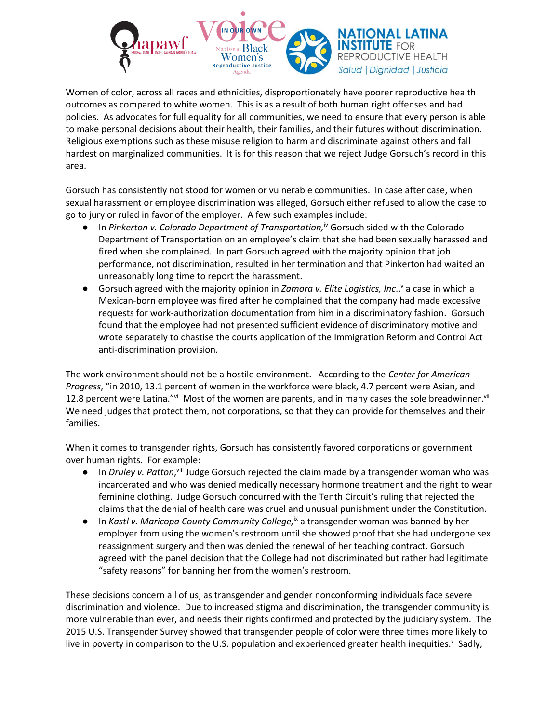

Women of color, across all races and ethnicities, disproportionately have poorer reproductive health outcomes as compared to white women. This is as a result of both human right offenses and bad policies. As advocates for full equality for all communities, we need to ensure that every person is able to make personal decisions about their health, their families, and their futures without discrimination. Religious exemptions such as these misuse religion to harm and discriminate against others and fall hardest on marginalized communities. It is for this reason that we reject Judge Gorsuch's record in this area.

Gorsuch has consistently not stood for women or vulnerable communities. In case after case, when sexual harassment or employee discrimination was alleged, Gorsuch either refused to allow the case to go to jury or ruled in favor of the employer. A few such examples include:

- In Pinkerton v. Colorado Department of Transportation,<sup>iv</sup> Gorsuch sided with the Colorado Department of Transportation on an employee's claim that she had been sexually harassed and fired when she complained. In part Gorsuch agreed with the majority opinion that job performance, not discrimination, resulted in her termination and that Pinkerton had waited an unreasonably long time to report the harassment.
- **•** Gorsuch agreed with the majority opinion in *Zamora v. Elite Logistics, Inc.*, a case in which a Mexican-born employee was fired after he complained that the company had made excessive requests for work-authorization documentation from him in a discriminatory fashion. Gorsuch found that the employee had not presented sufficient evidence of discriminatory motive and wrote separately to chastise the courts application of the Immigration Reform and Control Act anti-discrimination provision.

The work environment should not be a hostile environment. According to the *[Center for American](https://www.americanprogress.org/issues/economy/reports/2013/04/09/59731/how-pay-inequity-hurts-women-of-color/)  [Progress](https://www.americanprogress.org/issues/economy/reports/2013/04/09/59731/how-pay-inequity-hurts-women-of-color/)*, "in 2010, 13.1 percent of women in the workforce were black, 4.7 percent were Asian, and 12.8 percent were Latina."<sup>vi</sup> Most of the women are parents, and in many cases the sole breadwinner.<sup>vii</sup> We need judges that protect them, not corporations, so that they can provide for themselves and their families.

When it comes to transgender rights, Gorsuch has consistently favored corporations or government over human rights. For example:

- **•** In *Druley v. Patton*, Vill Judge Gorsuch rejected the claim made by a transgender woman who was incarcerated and who was denied medically necessary hormone treatment and the right to wear feminine clothing. Judge Gorsuch concurred with the Tenth Circuit's ruling that rejected the claims that the denial of health care was cruel and unusual punishment under the Constitution.
- In *Kastl v. Maricopa County Community College*,<sup>ix</sup> a transgender woman was banned by her employer from using the women's restroom until she showed proof that she had undergone sex reassignment surgery and then was denied the renewal of her teaching contract. Gorsuch agreed with the panel decision that the College had not discriminated but rather had legitimate "safety reasons" for banning her from the women's restroom.

These decisions concern all of us, as transgender and gender nonconforming individuals face severe discrimination and violence. Due to increased stigma and discrimination, the transgender community is more vulnerable than ever, and needs their rights confirmed and protected by the judiciary system. The 2015 U.S. Transgender Survey showed that transgender people of color were three times more likely to live in poverty in comparison to the U.S. population and experienced greater health inequities.<sup>x</sup> Sadly,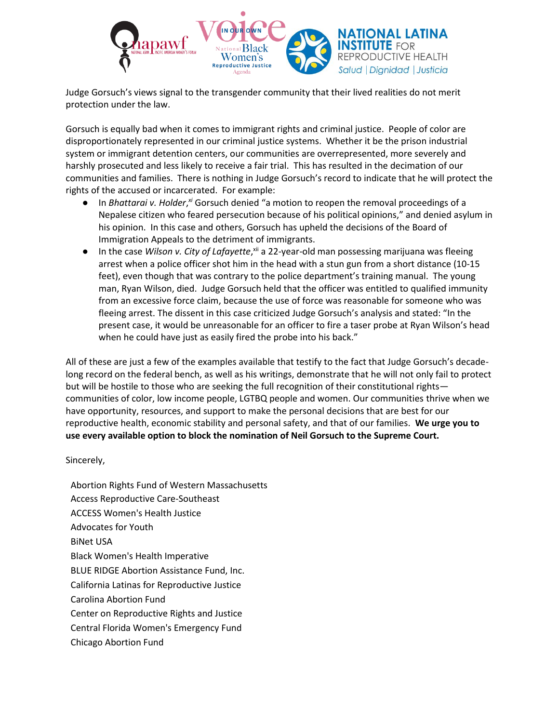

Judge Gorsuch's views signal to the transgender community that their lived realities do not merit protection under the law.

Gorsuch is equally bad when it comes to immigrant rights and criminal justice. People of color are disproportionately represented in our criminal justice systems. Whether it be the prison industrial system or immigrant detention centers, our communities are overrepresented, more severely and harshly prosecuted and less likely to receive a fair trial. This has resulted in the decimation of our communities and families. There is nothing in Judge Gorsuch's record to indicate that he will protect the rights of the accused or incarcerated. For example:

- In *Bhattarai v. Holder*, *xi* Gorsuch denied "a motion to reopen the removal proceedings of a Nepalese citizen who feared persecution because of his political opinions," and denied asylum in his opinion. In this case and others, Gorsuch has upheld the decisions of the Board of Immigration Appeals to the detriment of immigrants.
- **•** In the case Wilson v. City of Lafayette, xii a 22-year-old man possessing marijuana was fleeing arrest when a police officer shot him in the head with a stun gun from a short distance (10-15 feet), even though that was contrary to the police department's training manual. The young man, Ryan Wilson, died. Judge Gorsuch held that the officer was entitled to qualified immunity from an excessive force claim, because the use of force was reasonable for someone who was fleeing arrest. The dissent in this case criticized Judge Gorsuch's analysis and stated: "In the present case, it would be unreasonable for an officer to fire a taser probe at Ryan Wilson's head when he could have just as easily fired the probe into his back."

All of these are just a few of the examples available that testify to the fact that Judge Gorsuch's decadelong record on the federal bench, as well as his writings, demonstrate that he will not only fail to protect but will be hostile to those who are seeking the full recognition of their constitutional rights communities of color, low income people, LGTBQ people and women. Our communities thrive when we have opportunity, resources, and support to make the personal decisions that are best for our reproductive health, economic stability and personal safety, and that of our families. **We urge you to use every available option to block the nomination of Neil Gorsuch to the Supreme Court.**

## Sincerely,

Abortion Rights Fund of Western Massachusetts Access Reproductive Care-Southeast ACCESS Women's Health Justice Advocates for Youth BiNet USA Black Women's Health Imperative BLUE RIDGE Abortion Assistance Fund, Inc. California Latinas for Reproductive Justice Carolina Abortion Fund Center on Reproductive Rights and Justice Central Florida Women's Emergency Fund Chicago Abortion Fund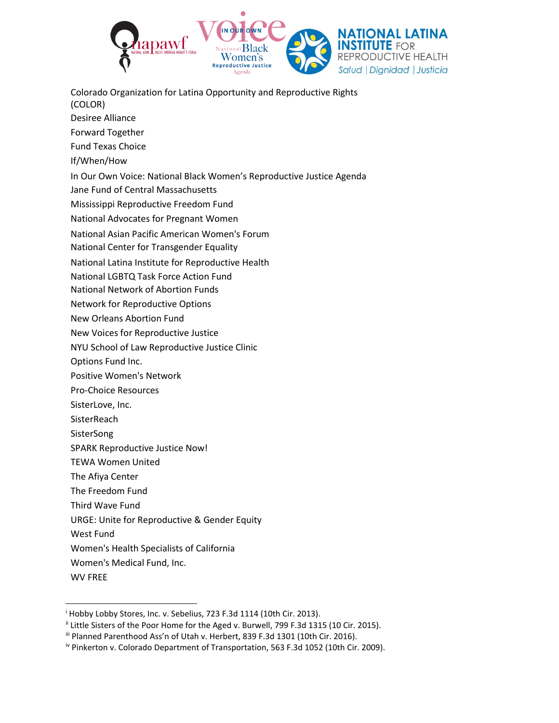

Colorado Organization for Latina Opportunity and Reproductive Rights (COLOR)

- Desiree Alliance
- Forward Together
- Fund Texas Choice
- If/When/How
- In Our Own Voice: National Black Women's Reproductive Justice Agenda
- Jane Fund of Central Massachusetts
- Mississippi Reproductive Freedom Fund
- National Advocates for Pregnant Women
- National Asian Pacific American Women's Forum
- National Center for Transgender Equality
- National Latina Institute for Reproductive Health
- National LGBTQ Task Force Action Fund
- National Network of Abortion Funds
- Network for Reproductive Options
- New Orleans Abortion Fund
- New Voices for Reproductive Justice
- NYU School of Law Reproductive Justice Clinic
- Options Fund Inc.
- Positive Women's Network
- Pro-Choice Resources
- SisterLove, Inc.
- **SisterReach**
- **SisterSong**
- SPARK Reproductive Justice Now!
- TEWA Women United
- The Afiya Center
- The Freedom Fund
- Third Wave Fund
- URGE: Unite for Reproductive & Gender Equity
- West Fund
- Women's Health Specialists of California
- Women's Medical Fund, Inc.
- WV FREE

 $\overline{a}$ 

<sup>&</sup>lt;sup>i</sup> Hobby Lobby Stores, Inc. v. Sebelius, 723 F.3d 1114 (10th Cir. 2013).

<sup>&</sup>lt;sup>ii</sup> Little Sisters of the Poor Home for the Aged v. Burwell, 799 F.3d 1315 (10 Cir. 2015).

iii Planned Parenthood Ass'n of Utah v. Herbert, 839 F.3d 1301 (10th Cir. 2016).

iv Pinkerton v. Colorado Department of Transportation, 563 F.3d 1052 (10th Cir. 2009).